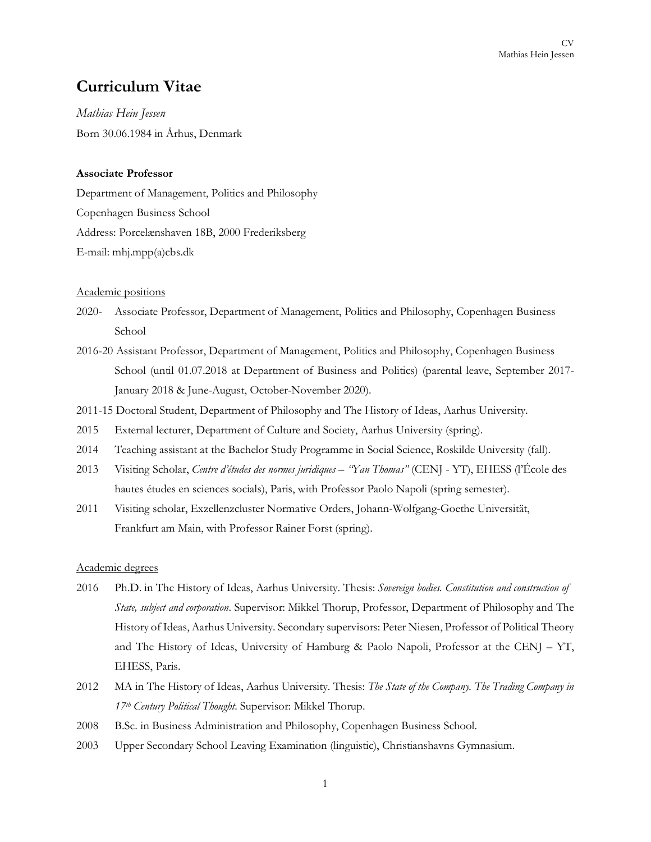# **Curriculum Vitae**

*Mathias Hein Jessen* Born 30.06.1984 in Århus, Denmark

# **Associate Professor**

Department of Management, Politics and Philosophy Copenhagen Business School Address: Porcelænshaven 18B, 2000 Frederiksberg E-mail: mhj.mpp(a)cbs.dk

# Academic positions

- 2020- Associate Professor, Department of Management, Politics and Philosophy, Copenhagen Business School
- 2016-20 Assistant Professor, Department of Management, Politics and Philosophy, Copenhagen Business School (until 01.07.2018 at Department of Business and Politics) (parental leave, September 2017- January 2018 & June-August, October-November 2020).
- 2011-15 Doctoral Student, Department of Philosophy and The History of Ideas, Aarhus University.
- 2015 External lecturer, Department of Culture and Society, Aarhus University (spring).
- 2014 Teaching assistant at the Bachelor Study Programme in Social Science, Roskilde University (fall).
- 2013 Visiting Scholar, *Centre d'études des normes juridiques – "Yan Thomas"* (CENJ YT), EHESS (l'École des hautes études en sciences socials), Paris, with Professor Paolo Napoli (spring semester).
- 2011 Visiting scholar, Exzellenzcluster Normative Orders, Johann-Wolfgang-Goethe Universität, Frankfurt am Main, with Professor Rainer Forst (spring).

# Academic degrees

- 2016 Ph.D. in The History of Ideas, Aarhus University. Thesis: *Sovereign bodies. Constitution and construction of State, subject and corporation*. Supervisor: Mikkel Thorup, Professor, Department of Philosophy and The History of Ideas, Aarhus University. Secondary supervisors: Peter Niesen, Professor of Political Theory and The History of Ideas, University of Hamburg & Paolo Napoli, Professor at the CENJ – YT, EHESS, Paris.
- 2012 MA in The History of Ideas, Aarhus University. Thesis: *The State of the Company. The Trading Company in 17th Century Political Thought*. Supervisor: Mikkel Thorup.
- 2008 B.Sc. in Business Administration and Philosophy, Copenhagen Business School.
- 2003 Upper Secondary School Leaving Examination (linguistic), Christianshavns Gymnasium.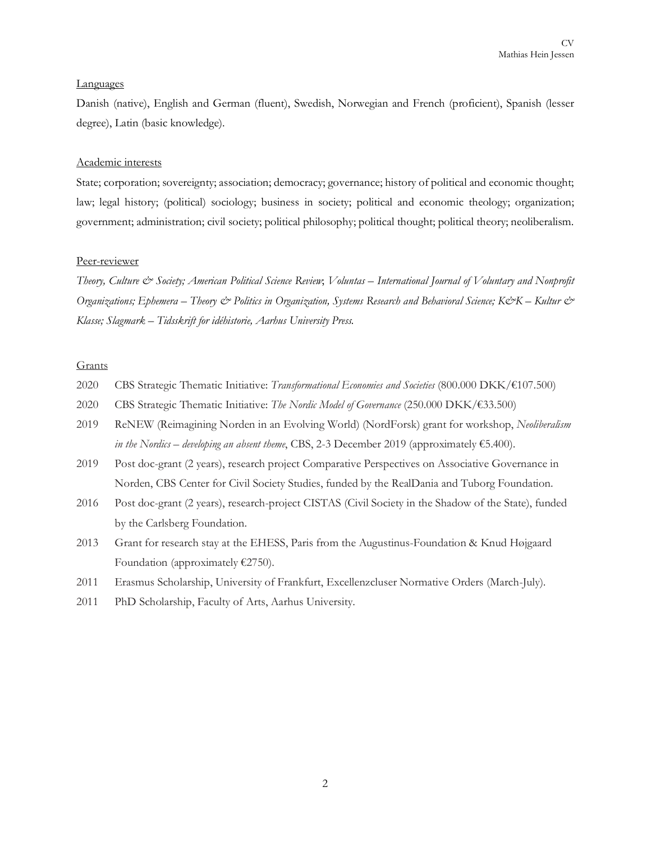# Languages

Danish (native), English and German (fluent), Swedish, Norwegian and French (proficient), Spanish (lesser degree), Latin (basic knowledge).

# Academic interests

State; corporation; sovereignty; association; democracy; governance; history of political and economic thought; law; legal history; (political) sociology; business in society; political and economic theology; organization; government; administration; civil society; political philosophy; political thought; political theory; neoliberalism.

# Peer-reviewer

*Theory, Culture & Society; American Political Science Review*; *Voluntas – International Journal of Voluntary and Nonprofit Organizations; Ephemera – Theory & Politics in Organization, Systems Research and Behavioral Science; K&K – Kultur & Klasse; Slagmark – Tidsskrift for idéhistorie, Aarhus University Press.*

# Grants

- 2020 CBS Strategic Thematic Initiative: *Transformational Economies and Societies* (800.000 DKK/€107.500)
- 2020 CBS Strategic Thematic Initiative: *The Nordic Model of Governance* (250.000 DKK/€33.500)
- 2019 ReNEW (Reimagining Norden in an Evolving World) (NordForsk) grant for workshop, *Neoliberalism in the Nordics – developing an absent theme*, CBS, 2-3 December 2019 (approximately €5.400).
- 2019 Post doc-grant (2 years), research project Comparative Perspectives on Associative Governance in Norden, CBS Center for Civil Society Studies, funded by the RealDania and Tuborg Foundation.
- 2016 Post doc-grant (2 years), research-project CISTAS (Civil Society in the Shadow of the State), funded by the Carlsberg Foundation.
- 2013 Grant for research stay at the EHESS, Paris from the Augustinus-Foundation & Knud Højgaard Foundation (approximately €2750).
- 2011 Erasmus Scholarship, University of Frankfurt, Excellenzcluser Normative Orders (March-July).
- 2011 PhD Scholarship, Faculty of Arts, Aarhus University.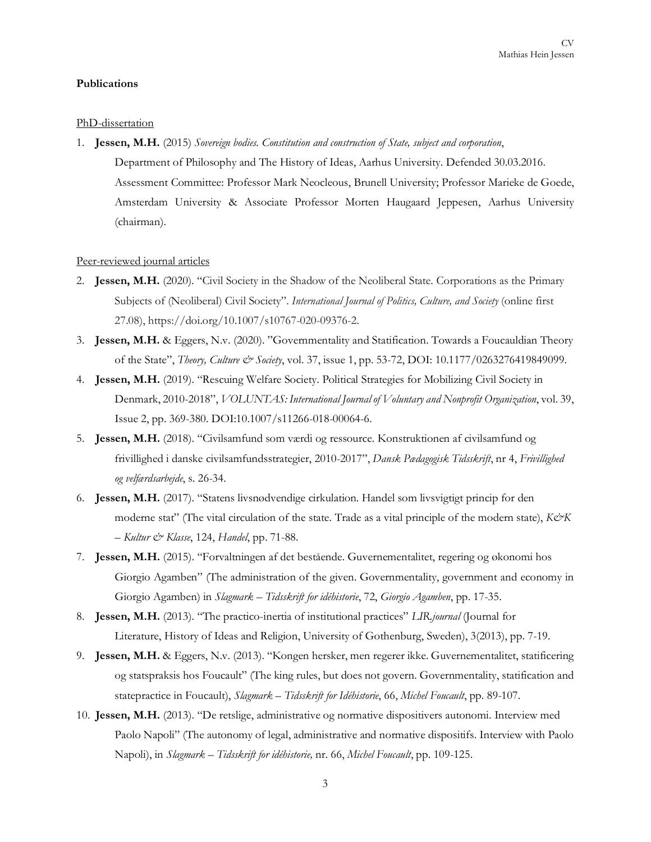# **Publications**

## PhD-dissertation

1. **Jessen, M.H.** (2015) *Sovereign bodies. Constitution and construction of State, subject and corporation*,

Department of Philosophy and The History of Ideas, Aarhus University. Defended 30.03.2016. Assessment Committee: Professor Mark Neocleous, Brunell University; Professor Marieke de Goede, Amsterdam University & Associate Professor Morten Haugaard Jeppesen, Aarhus University (chairman).

## Peer-reviewed journal articles

- 2. **Jessen, M.H.** (2020). "Civil Society in the Shadow of the Neoliberal State. Corporations as the Primary Subjects of (Neoliberal) Civil Society". *International Journal of Politics, Culture, and Society* (online first 27.08), https://doi.org/10.1007/s10767-020-09376-2.
- 3. **Jessen, M.H.** & Eggers, N.v. (2020). "Governmentality and Statification. Towards a Foucauldian Theory of the State", *Theory, Culture & Society*, vol. 37, issue 1, pp. 53-72, DOI: 10.1177/0263276419849099.
- 4. **Jessen, M.H.** (2019). "Rescuing Welfare Society. Political Strategies for Mobilizing Civil Society in Denmark, 2010-2018", *VOLUNTAS: International Journal of Voluntary and Nonprofit Organization*, vol. 39, Issue 2, pp. 369-380. DOI:10.1007/s11266-018-00064-6.
- 5. **Jessen, M.H.** (2018). "Civilsamfund som værdi og ressource. Konstruktionen af civilsamfund og frivillighed i danske civilsamfundsstrategier, 2010-2017", *Dansk Pædagogisk Tidsskrift*, nr 4, *Frivillighed og velfærdsarbejde*, s. 26-34.
- 6. **Jessen, M.H.** (2017). "Statens livsnødvendige cirkulation. Handel som livsvigtigt princip for den moderne stat" (The vital circulation of the state. Trade as a vital principle of the modern state),  $K\ddot{\mathscr{O}}K$ *– Kultur & Klasse*, 124, *Handel*, pp. 71-88.
- 7. **Jessen, M.H.** (2015). "Forvaltningen af det bestående. Guvernementalitet, regering og økonomi hos Giorgio Agamben" (The administration of the given. Governmentality, government and economy in Giorgio Agamben) in *Slagmark – Tidsskrift for idéhistorie*, 72, *Giorgio Agamben*, pp. 17-35.
- 8. **Jessen, M.H.** (2013). "The practico-inertia of institutional practices" *LIR.journal* (Journal for Literature, History of Ideas and Religion, University of Gothenburg, Sweden), 3(2013), pp. 7-19.
- 9. **Jessen, M.H.** & Eggers, N.v. (2013). "Kongen hersker, men regerer ikke. Guvernementalitet, statificering og statspraksis hos Foucault" (The king rules, but does not govern. Governmentality, statification and statepractice in Foucault), *Slagmark – Tidsskrift for Idéhistorie*, 66, *Michel Foucault*, pp. 89-107.
- 10. **Jessen, M.H.** (2013). "De retslige, administrative og normative dispositivers autonomi. Interview med Paolo Napoli" (The autonomy of legal, administrative and normative dispositifs. Interview with Paolo Napoli), in *Slagmark – Tidsskrift for idéhistorie,* nr. 66, *Michel Foucault*, pp. 109-125.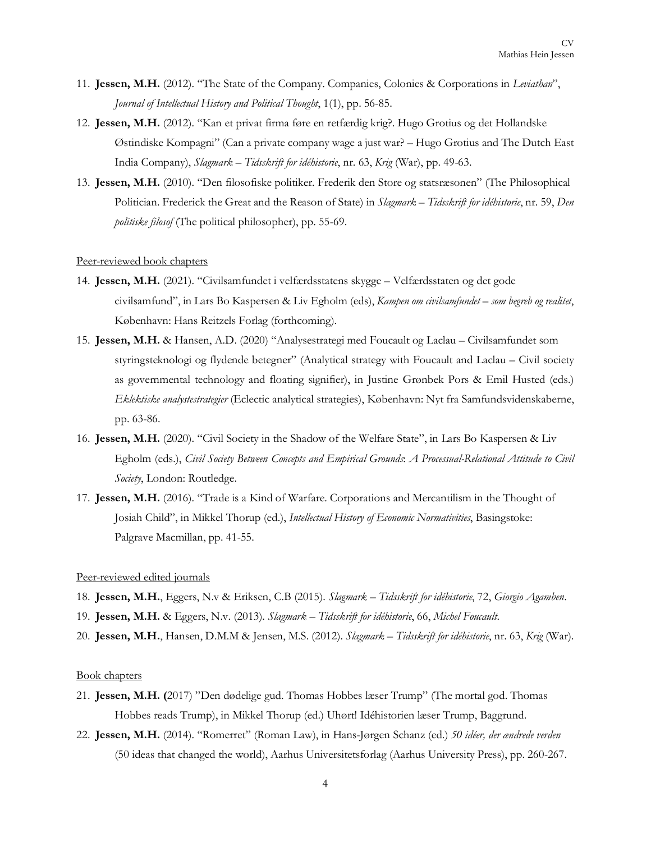- 11. **Jessen, M.H.** (2012). "The State of the Company. Companies, Colonies & Corporations in *Leviathan*", *Journal of Intellectual History and Political Thought*, 1(1), pp. 56-85.
- 12. **Jessen, M.H.** (2012). "Kan et privat firma føre en retfærdig krig?. Hugo Grotius og det Hollandske Østindiske Kompagni" (Can a private company wage a just war? – Hugo Grotius and The Dutch East India Company), *Slagmark – Tidsskrift for idéhistorie*, nr. 63, *Krig* (War), pp. 49-63.
- 13. **Jessen, M.H.** (2010). "Den filosofiske politiker. Frederik den Store og statsræsonen" (The Philosophical Politician. Frederick the Great and the Reason of State) in *Slagmark – Tidsskrift for idéhistorie*, nr. 59, *Den politiske filosof* (The political philosopher), pp. 55-69.

## Peer-reviewed book chapters

- 14. **Jessen, M.H.** (2021). "Civilsamfundet i velfærdsstatens skygge Velfærdsstaten og det gode civilsamfund", in Lars Bo Kaspersen & Liv Egholm (eds), *Kampen om civilsamfundet – som begreb og realitet*, København: Hans Reitzels Forlag (forthcoming).
- 15. **Jessen, M.H.** & Hansen, A.D. (2020) "Analysestrategi med Foucault og Laclau Civilsamfundet som styringsteknologi og flydende betegner" (Analytical strategy with Foucault and Laclau – Civil society as governmental technology and floating signifier), in Justine Grønbek Pors & Emil Husted (eds.) *Eklektiske analystestrategier* (Eclectic analytical strategies), København: Nyt fra Samfundsvidenskaberne, pp. 63-86.
- 16. **Jessen, M.H.** (2020). "Civil Society in the Shadow of the Welfare State", in Lars Bo Kaspersen & Liv Egholm (eds.), *Civil Society Between Concepts and Empirical Grounds*: *A Processual-Relational Attitude to Civil Society*, London: Routledge.
- 17. **Jessen, M.H.** (2016). "Trade is a Kind of Warfare. Corporations and Mercantilism in the Thought of Josiah Child", in Mikkel Thorup (ed.), *Intellectual History of Economic Normativities*, Basingstoke: Palgrave Macmillan, pp. 41-55.

# Peer-reviewed edited journals

- 18. **Jessen, M.H.**, Eggers, N.v & Eriksen, C.B (2015). *Slagmark – Tidsskrift for idéhistorie*, 72, *Giorgio Agamben*.
- 19. **Jessen, M.H.** & Eggers, N.v. (2013). *Slagmark – Tidsskrift for idéhistorie*, 66, *Michel Foucault*.
- 20. **Jessen, M.H.**, Hansen, D.M.M & Jensen, M.S. (2012). *Slagmark – Tidsskrift for idéhistorie*, nr. 63, *Krig* (War).

## Book chapters

- 21. **Jessen, M.H. (**2017) "Den dødelige gud. Thomas Hobbes læser Trump" (The mortal god. Thomas Hobbes reads Trump), in Mikkel Thorup (ed.) Uhørt! Idéhistorien læser Trump, Baggrund.
- 22. **Jessen, M.H.** (2014). "Romerret" (Roman Law), in Hans-Jørgen Schanz (ed.) *50 idéer, der ændrede verden* (50 ideas that changed the world), Aarhus Universitetsforlag (Aarhus University Press), pp. 260-267.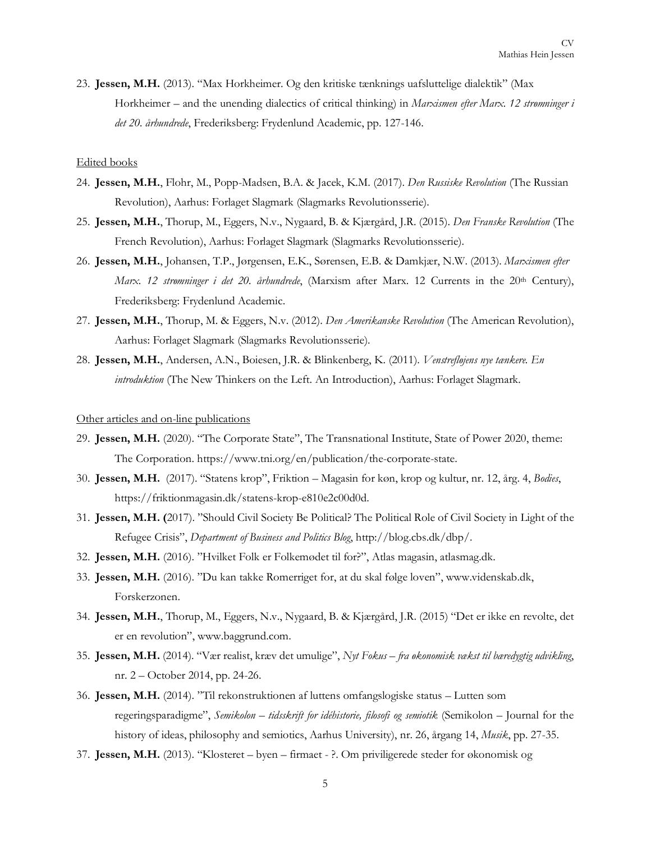23. **Jessen, M.H.** (2013). "Max Horkheimer. Og den kritiske tænknings uafsluttelige dialektik" (Max Horkheimer – and the unending dialectics of critical thinking) in *Marxismen efter Marx. 12 strømninger i det 20. århundrede*, Frederiksberg: Frydenlund Academic, pp. 127-146.

## Edited books

- 24. **Jessen, M.H.**, Flohr, M., Popp-Madsen, B.A. & Jacek, K.M. (2017). *Den Russiske Revolution* (The Russian Revolution), Aarhus: Forlaget Slagmark (Slagmarks Revolutionsserie).
- 25. **Jessen, M.H.**, Thorup, M., Eggers, N.v., Nygaard, B. & Kjærgård, J.R. (2015). *Den Franske Revolution* (The French Revolution), Aarhus: Forlaget Slagmark (Slagmarks Revolutionsserie).
- 26. **Jessen, M.H.**, Johansen, T.P., Jørgensen, E.K., Sørensen, E.B. & Damkjær, N.W. (2013). *Marxismen efter Marx. 12 strømninger i det 20. århundrede*, (Marxism after Marx. 12 Currents in the 20th Century), Frederiksberg: Frydenlund Academic.
- 27. **Jessen, M.H.**, Thorup, M. & Eggers, N.v. (2012). *Den Amerikanske Revolution* (The American Revolution), Aarhus: Forlaget Slagmark (Slagmarks Revolutionsserie).
- 28. **Jessen, M.H.**, Andersen, A.N., Boiesen, J.R. & Blinkenberg, K. (2011). *Venstrefløjens nye tænkere. En introduktion* (The New Thinkers on the Left. An Introduction), Aarhus: Forlaget Slagmark.

# Other articles and on-line publications

- 29. **Jessen, M.H.** (2020). "The Corporate State", The Transnational Institute, State of Power 2020, theme: The Corporation. https://www.tni.org/en/publication/the-corporate-state.
- 30. **Jessen, M.H.** (2017). "Statens krop", Friktion Magasin for køn, krop og kultur, nr. 12, årg. 4, *Bodies*, https://friktionmagasin.dk/statens-krop-e810e2c00d0d.
- 31. **Jessen, M.H. (**2017). "Should Civil Society Be Political? The Political Role of Civil Society in Light of the Refugee Crisis", *Department of Business and Politics Blog*, http://blog.cbs.dk/dbp/.
- 32. **Jessen, M.H.** (2016). "Hvilket Folk er Folkemødet til for?", Atlas magasin, atlasmag.dk.
- 33. **Jessen, M.H.** (2016). "Du kan takke Romerriget for, at du skal følge loven", www.videnskab.dk, Forskerzonen.
- 34. **Jessen, M.H.**, Thorup, M., Eggers, N.v., Nygaard, B. & Kjærgård, J.R. (2015) "Det er ikke en revolte, det er en revolution", www.baggrund.com.
- 35. **Jessen, M.H.** (2014). "Vær realist, kræv det umulige", *Nyt Fokus – fra økonomisk vækst til bæredygtig udvikling*, nr. 2 – October 2014, pp. 24-26.
- 36. **Jessen, M.H.** (2014). "Til rekonstruktionen af luttens omfangslogiske status Lutten som regeringsparadigme", *Semikolon – tidsskrift for idéhistorie, filosofi og semiotik* (Semikolon – Journal for the history of ideas, philosophy and semiotics, Aarhus University), nr. 26, årgang 14, *Musik*, pp. 27-35.
- 37. **Jessen, M.H.** (2013). "Klosteret byen firmaet ?. Om priviligerede steder for økonomisk og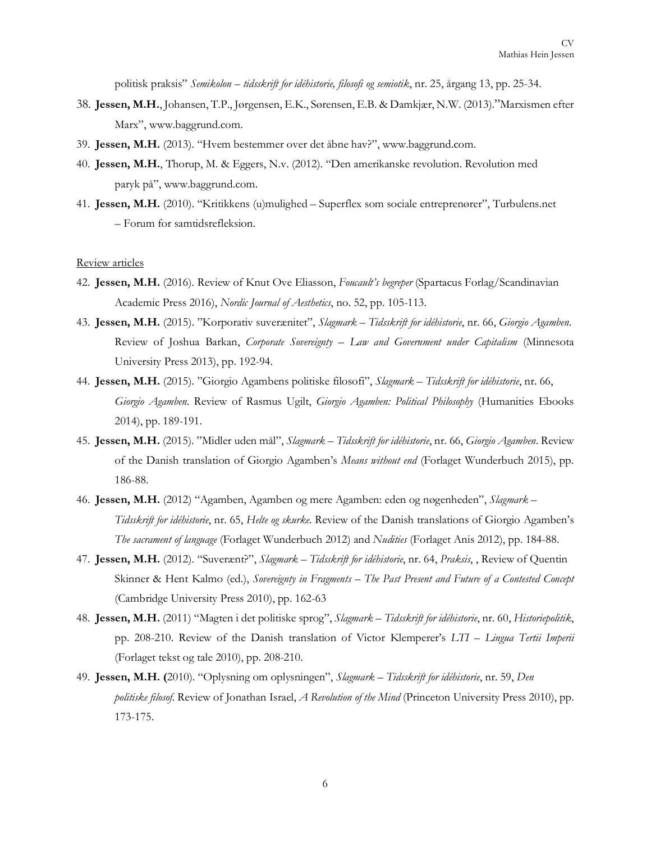politisk praksis" *Semikolon – tidsskrift for idéhistorie, filosofi og semiotik*, nr. 25, årgang 13, pp. 25-34.

- 38. **Jessen, M.H.**, Johansen, T.P., Jørgensen, E.K., Sørensen, E.B. & Damkjær, N.W. (2013)."Marxismen efter Marx", www.baggrund.com.
- 39. **Jessen, M.H.** (2013). "Hvem bestemmer over det åbne hav?", www.baggrund.com.
- 40. **Jessen, M.H.**, Thorup, M. & Eggers, N.v. (2012). "Den amerikanske revolution. Revolution med paryk på", www.baggrund.com.
- 41. **Jessen, M.H.** (2010). "Kritikkens (u)mulighed Superflex som sociale entreprenører", Turbulens.net – Forum for samtidsrefleksion.

#### Review articles

- 42. **Jessen, M.H.** (2016). Review of Knut Ove Eliasson, *Foucault's begreper* (Spartacus Forlag/Scandinavian Academic Press 2016), *Nordic Journal of Aesthetics*, no. 52, pp. 105-113.
- 43. **Jessen, M.H.** (2015). "Korporativ suverænitet", *Slagmark – Tidsskrift for idéhistorie*, nr. 66, *Giorgio Agamben*. Review of Joshua Barkan, *Corporate Sovereignty – Law and Government under Capitalism* (Minnesota University Press 2013), pp. 192-94.
- 44. **Jessen, M.H.** (2015). "Giorgio Agambens politiske filosofi", *Slagmark – Tidsskrift for idéhistorie*, nr. 66, *Giorgio Agamben*. Review of Rasmus Ugilt, *Giorgio Agamben: Political Philosophy* (Humanities Ebooks 2014), pp. 189-191.
- 45. **Jessen, M.H.** (2015). "Midler uden mål", *Slagmark – Tidsskrift for idéhistorie*, nr. 66, *Giorgio Agamben*. Review of the Danish translation of Giorgio Agamben's *Means without end* (Forlaget Wunderbuch 2015), pp. 186-88.
- 46. **Jessen, M.H.** (2012) "Agamben, Agamben og mere Agamben: eden og nøgenheden", *Slagmark – Tidsskrift for idéhistorie*, nr. 65, *Helte og skurke*. Review of the Danish translations of Giorgio Agamben's *The sacrament of language* (Forlaget Wunderbuch 2012) and *Nudities* (Forlaget Anis 2012), pp. 184-88.
- 47. **Jessen, M.H.** (2012). "Suverænt?", *Slagmark – Tidsskrift for idéhistorie*, nr. 64, *Praksis*, , Review of Quentin Skinner & Hent Kalmo (ed.), *Sovereignty in Fragments – The Past Present and Future of a Contested Concept*  (Cambridge University Press 2010), pp. 162-63
- 48. **Jessen, M.H.** (2011) "Magten i det politiske sprog", *Slagmark – Tidsskrift for idéhistorie*, nr. 60, *Historiepolitik*, pp. 208-210. Review of the Danish translation of Victor Klemperer's *LTI – Lingua Tertii Imperii*  (Forlaget tekst og tale 2010), pp. 208-210.
- 49. **Jessen, M.H. (**2010). "Oplysning om oplysningen", *Slagmark – Tidsskrift for idéhistorie*, nr. 59, *Den politiske filosof*. Review of Jonathan Israel, *A Revolution of the Mind* (Princeton University Press 2010), pp. 173-175.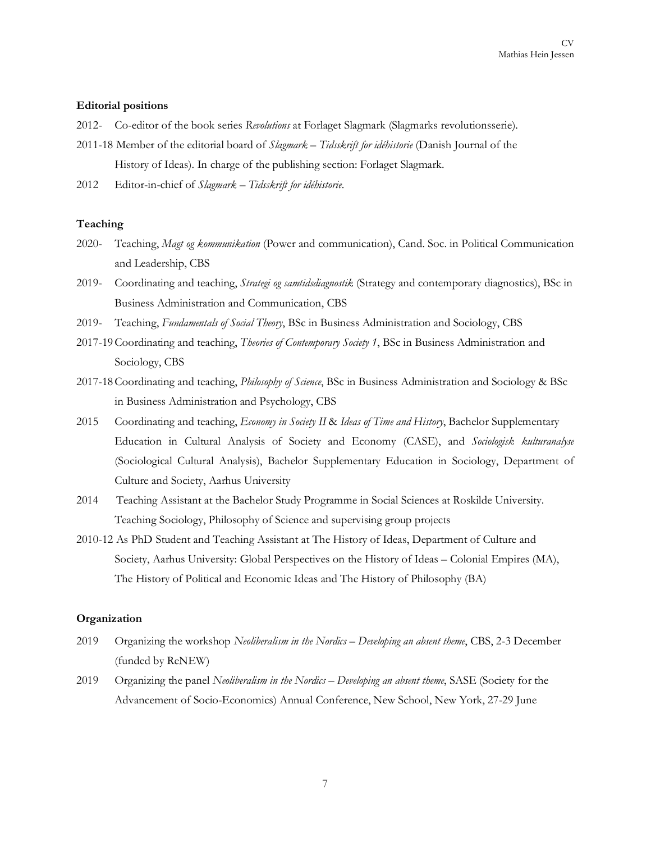# **Editorial positions**

- 2012- Co-editor of the book series *Revolutions* at Forlaget Slagmark (Slagmarks revolutionsserie).
- 2011-18 Member of the editorial board of *Slagmark – Tidsskrift for idéhistorie* (Danish Journal of the History of Ideas). In charge of the publishing section: Forlaget Slagmark.
- 2012 Editor-in-chief of *Slagmark – Tidsskrift for idéhistorie*.

## **Teaching**

- 2020- Teaching, *Magt og kommunikation* (Power and communication), Cand. Soc. in Political Communication and Leadership, CBS
- 2019- Coordinating and teaching, *Strategi og samtidsdiagnostik* (Strategy and contemporary diagnostics), BSc in Business Administration and Communication, CBS
- 2019- Teaching, *Fundamentals of Social Theory*, BSc in Business Administration and Sociology, CBS
- 2017-19Coordinating and teaching, *Theories of Contemporary Society 1*, BSc in Business Administration and Sociology, CBS
- 2017-18Coordinating and teaching, *Philosophy of Science*, BSc in Business Administration and Sociology & BSc in Business Administration and Psychology, CBS
- 2015 Coordinating and teaching, *Economy in Society II* & *Ideas of Time and History*, Bachelor Supplementary Education in Cultural Analysis of Society and Economy (CASE), and *Sociologisk kulturanalyse* (Sociological Cultural Analysis), Bachelor Supplementary Education in Sociology, Department of Culture and Society, Aarhus University
- 2014 Teaching Assistant at the Bachelor Study Programme in Social Sciences at Roskilde University. Teaching Sociology, Philosophy of Science and supervising group projects
- 2010-12 As PhD Student and Teaching Assistant at The History of Ideas, Department of Culture and Society, Aarhus University: Global Perspectives on the History of Ideas – Colonial Empires (MA), The History of Political and Economic Ideas and The History of Philosophy (BA)

#### **Organization**

- 2019 Organizing the workshop *Neoliberalism in the Nordics – Developing an absent theme*, CBS, 2-3 December (funded by ReNEW)
- 2019 Organizing the panel *Neoliberalism in the Nordics – Developing an absent theme*, SASE (Society for the Advancement of Socio-Economics) Annual Conference, New School, New York, 27-29 June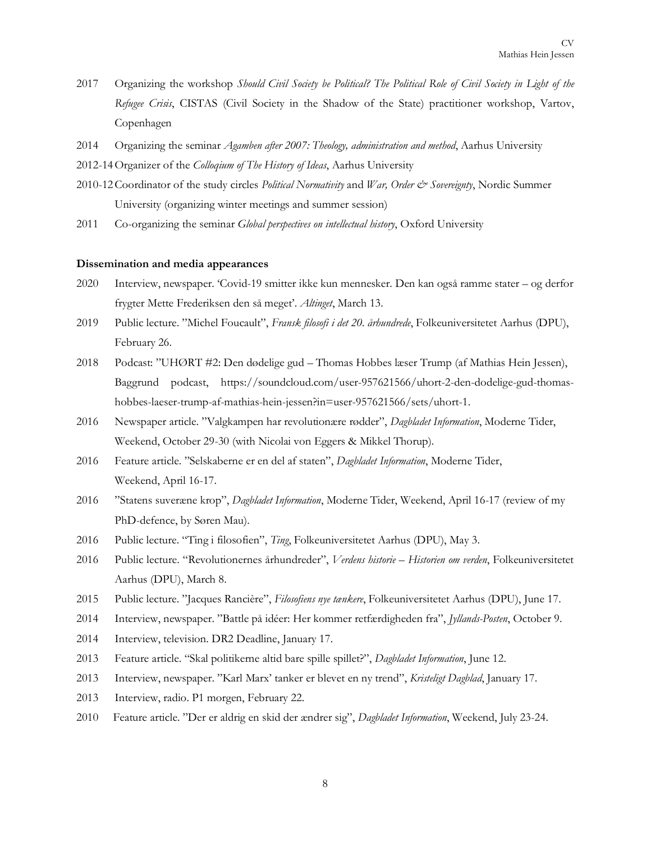- 2017 Organizing the workshop *Should Civil Society be Political? The Political Role of Civil Society in Light of the Refugee Crisis*, CISTAS (Civil Society in the Shadow of the State) practitioner workshop, Vartov, Copenhagen
- 2014 Organizing the seminar *Agamben after 2007: Theology, administration and method*, Aarhus University
- 2012-14Organizer of the *Colloqium of The History of Ideas*, Aarhus University
- 2010-12Coordinator of the study circles *Political Normativity* and *War, Order & Sovereignty*, Nordic Summer University (organizing winter meetings and summer session)
- 2011 Co-organizing the seminar *Global perspectives on intellectual history*, Oxford University

## **Dissemination and media appearances**

- 2020 Interview, newspaper. 'Covid-19 smitter ikke kun mennesker. Den kan også ramme stater og derfor frygter Mette Frederiksen den så meget'. *Altinget*, March 13.
- 2019 Public lecture. "Michel Foucault", *Fransk filosofi i det 20. århundrede*, Folkeuniversitetet Aarhus (DPU), February 26.
- 2018 Podcast: "UHØRT #2: Den dødelige gud Thomas Hobbes læser Trump (af Mathias Hein Jessen), Baggrund podcast, https://soundcloud.com/user-957621566/uhort-2-den-dodelige-gud-thomashobbes-laeser-trump-af-mathias-hein-jessen?in=user-957621566/sets/uhort-1.
- 2016 Newspaper article. "Valgkampen har revolutionære rødder", *Dagbladet Information*, Moderne Tider, Weekend, October 29-30 (with Nicolai von Eggers & Mikkel Thorup).
- 2016 Feature article. "Selskaberne er en del af staten", *Dagbladet Information*, Moderne Tider, Weekend, April 16-17.
- 2016 "Statens suveræne krop", *Dagbladet Information*, Moderne Tider, Weekend, April 16-17 (review of my PhD-defence, by Søren Mau).
- 2016 Public lecture. "Ting i filosofien", *Ting*, Folkeuniversitetet Aarhus (DPU), May 3.
- 2016 Public lecture. "Revolutionernes århundreder", *Verdens historie – Historien om verden*, Folkeuniversitetet Aarhus (DPU), March 8.
- 2015 Public lecture. "Jacques Rancière", *Filosofiens nye tænkere*, Folkeuniversitetet Aarhus (DPU), June 17.
- 2014 Interview, newspaper. "Battle på idéer: Her kommer retfærdigheden fra", *Jyllands-Posten*, October 9.
- 2014 Interview, television. DR2 Deadline, January 17.
- 2013 Feature article. "Skal politikerne altid bare spille spillet?", *Dagbladet Information*, June 12.
- 2013 Interview, newspaper. "Karl Marx' tanker er blevet en ny trend", *Kristeligt Dagblad*, January 17.
- 2013 Interview, radio. P1 morgen, February 22.
- 2010 Feature article. "Der er aldrig en skid der ændrer sig", *Dagbladet Information*, Weekend, July 23-24.